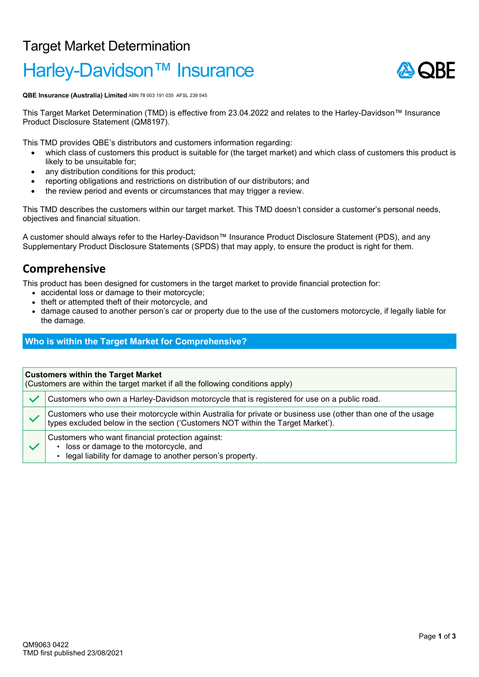## Target Market Determination

# Harley-Davidson<sup>™</sup> Insurance



**QBE Insurance (Australia) Limited** ABN 78 003 191 035 AFSL 239 545

This Target Market Determination (TMD) is effective from 23.04.2022 and relates to the Harley-Davidson™ Insurance Product Disclosure Statement (QM8197).

This TMD provides QBE's distributors and customers information regarding:

- which class of customers this product is suitable for (the target market) and which class of customers this product is likely to be unsuitable for;
- any distribution conditions for this product;
- reporting obligations and restrictions on distribution of our distributors; and
- the review period and events or circumstances that may trigger a review.

This TMD describes the customers within our target market. This TMD doesn't consider a customer's personal needs, objectives and financial situation.

A customer should always refer to the Harley-Davidson™ Insurance Product Disclosure Statement (PDS), and any Supplementary Product Disclosure Statements (SPDS) that may apply, to ensure the product is right for them.

### **Comprehensive**

This product has been designed for customers in the target market to provide financial protection for:

- accidental loss or damage to their motorcycle;
- theft or attempted theft of their motorcycle, and
- damage caused to another person's car or property due to the use of the customers motorcycle, if legally liable for the damage.

#### **Who is within the Target Market for Comprehensive?**

**Customers within the Target Market**

(Customers are within the target market if all the following conditions apply)

| Customers who own a Harley-Davidson motorcycle that is registered for use on a public road.                                                                                                     |
|-------------------------------------------------------------------------------------------------------------------------------------------------------------------------------------------------|
| Customers who use their motorcycle within Australia for private or business use (other than one of the usage<br>types excluded below in the section ('Customers NOT within the Target Market'). |
| Customers who want financial protection against:<br>loss or damage to the motorcycle, and<br>legal liability for damage to another person's property.                                           |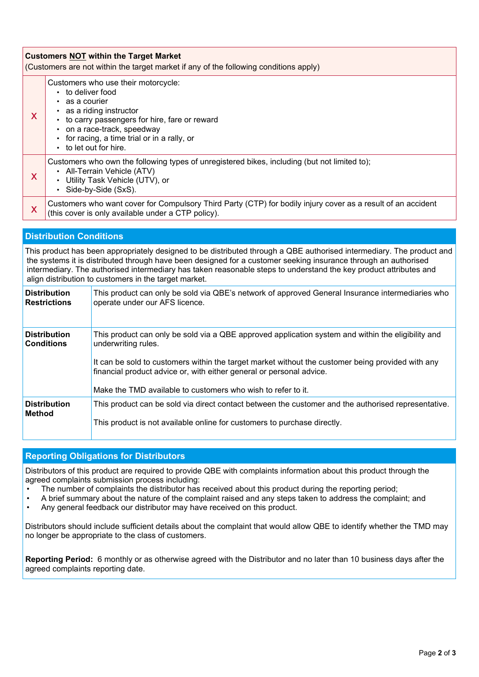| <b>Customers NOT within the Target Market</b><br>(Customers are not within the target market if any of the following conditions apply)                                                                                                                                                                                                                                                                                 |                                                                                                                                                                                                                                                               |  |  |
|------------------------------------------------------------------------------------------------------------------------------------------------------------------------------------------------------------------------------------------------------------------------------------------------------------------------------------------------------------------------------------------------------------------------|---------------------------------------------------------------------------------------------------------------------------------------------------------------------------------------------------------------------------------------------------------------|--|--|
| X                                                                                                                                                                                                                                                                                                                                                                                                                      | Customers who use their motorcycle:<br>• to deliver food<br>as a courier<br>• as a riding instructor<br>• to carry passengers for hire, fare or reward<br>• on a race-track, speedway<br>• for racing, a time trial or in a rally, or<br>to let out for hire. |  |  |
| X                                                                                                                                                                                                                                                                                                                                                                                                                      | Customers who own the following types of unregistered bikes, including (but not limited to);<br>• All-Terrain Vehicle (ATV)<br>• Utility Task Vehicle (UTV), or<br>• Side-by-Side (SxS).                                                                      |  |  |
| X                                                                                                                                                                                                                                                                                                                                                                                                                      | Customers who want cover for Compulsory Third Party (CTP) for bodily injury cover as a result of an accident<br>(this cover is only available under a CTP policy).                                                                                            |  |  |
| <b>Distribution Conditions</b>                                                                                                                                                                                                                                                                                                                                                                                         |                                                                                                                                                                                                                                                               |  |  |
| This product has been appropriately designed to be distributed through a QBE authorised intermediary. The product and<br>the systems it is distributed through have been designed for a customer seeking insurance through an authorised<br>intermediary. The authorised intermediary has taken reasonable steps to understand the key product attributes and<br>align distribution to customers in the target market. |                                                                                                                                                                                                                                                               |  |  |

| <b>Distribution</b>                      | This product can only be sold via QBE's network of approved General Insurance intermediaries who                                                                                                                                                                                                                                                                       |
|------------------------------------------|------------------------------------------------------------------------------------------------------------------------------------------------------------------------------------------------------------------------------------------------------------------------------------------------------------------------------------------------------------------------|
| <b>Restrictions</b>                      | operate under our AFS licence.                                                                                                                                                                                                                                                                                                                                         |
| <b>Distribution</b><br><b>Conditions</b> | This product can only be sold via a QBE approved application system and within the eligibility and<br>underwriting rules.<br>It can be sold to customers within the target market without the customer being provided with any<br>financial product advice or, with either general or personal advice.<br>Make the TMD available to customers who wish to refer to it. |
| <b>Distribution</b>                      | This product can be sold via direct contact between the customer and the authorised representative.                                                                                                                                                                                                                                                                    |
| <b>Method</b>                            | This product is not available online for customers to purchase directly.                                                                                                                                                                                                                                                                                               |

#### **Reporting Obligations for Distributors**

Distributors of this product are required to provide QBE with complaints information about this product through the agreed complaints submission process including:

- The number of complaints the distributor has received about this product during the reporting period;<br>• A brief summary about the nature of the complaint raised and any steps taken to address the compla
- A brief summary about the nature of the complaint raised and any steps taken to address the complaint; and<br>• Any general feedback our distributor may have received on this product.
- Any general feedback our distributor may have received on this product.

Distributors should include sufficient details about the complaint that would allow QBE to identify whether the TMD may no longer be appropriate to the class of customers.

**Reporting Period:** 6 monthly or as otherwise agreed with the Distributor and no later than 10 business days after the agreed complaints reporting date.